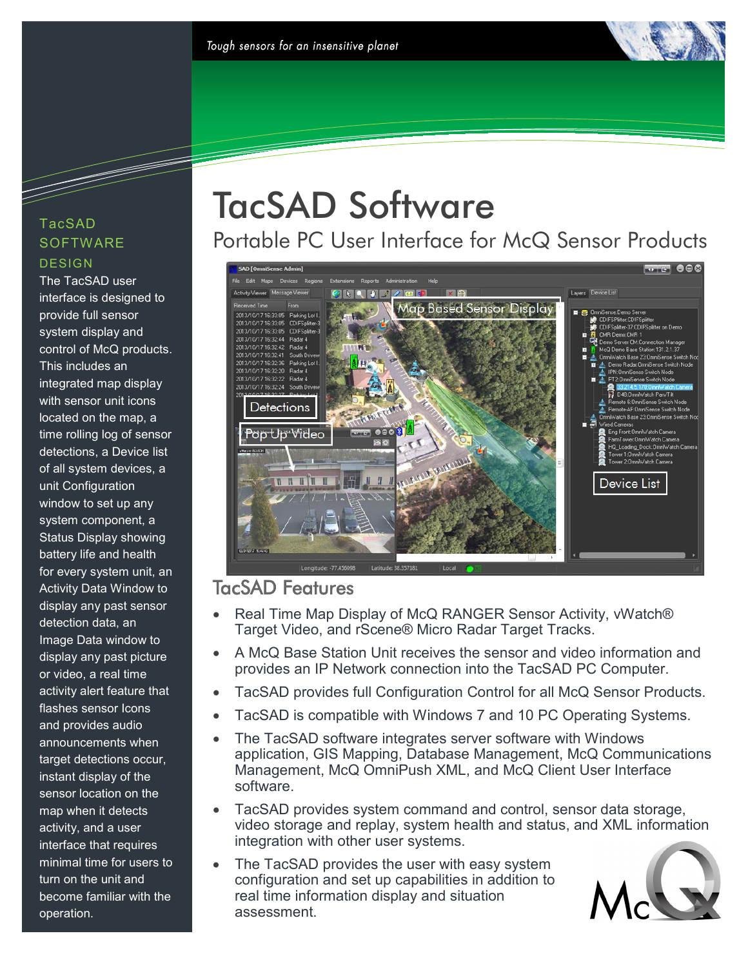#### TacSAD **SOFTWARE DESIGN**

e de la década de la década de la década de la década de la década de la década de la década de la década de l<br>La década de la década de la década de la década de la década de la década de la década de la década de la déc

The TacSAD user interface is designed to provide full sensor system display and control of McQ products. This includes an integrated map display with sensor unit icons located on the map, a time rolling log of sensor detections, a Device list of all system devices, a unit Configuration window to set up any system component, a Status Display showing battery life and health for every system unit, an Activity Data Window to display any past sensor detection data, an Image Data window to display any past picture or video, a real time activity alert feature that flashes sensor Icons and provides audio announcements when target detections occur, instant display of the sensor location on the map when it detects activity, and a user interface that requires minimal time for users to turn on the unit and become familiar with the operation.

# TacSAD Software

Portable PC User Interface for McQ Sensor Products



### TacSAD Features

- Real Time Map Display of McQ RANGER Sensor Activity, vWatch® Target Video, and rScene® Micro Radar Target Tracks.
- A McQ Base Station Unit receives the sensor and video information and provides an IP Network connection into the TacSAD PC Computer.
- TacSAD provides full Configuration Control for all McQ Sensor Products.
- TacSAD is compatible with Windows 7 and 10 PC Operating Systems.
- The TacSAD software integrates server software with Windows application, GIS Mapping, Database Management, McQ Communications Management, McQ OmniPush XML, and McQ Client User Interface software.
- TacSAD provides system command and control, sensor data storage, video storage and replay, system health and status, and XML information integration with other user systems.
- The TacSAD provides the user with easy system configuration and set up capabilities in addition to real time information display and situation assessment.